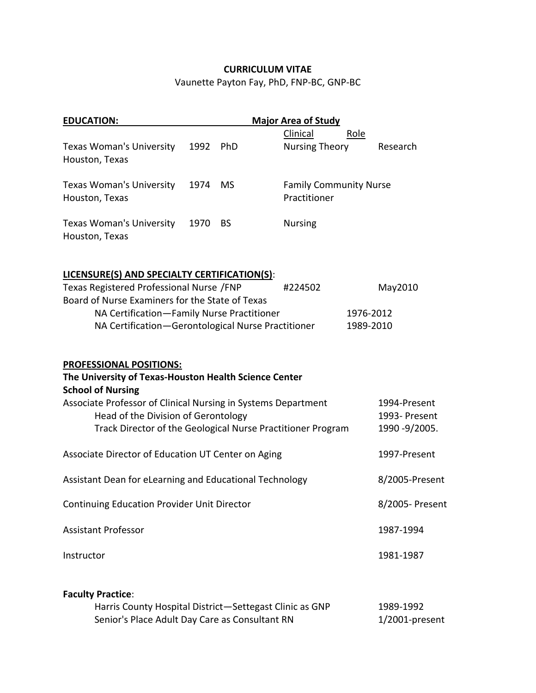## **CURRICULUM VITAE**

Vaunette Payton Fay, PhD, FNP-BC, GNP-BC

| <b>EDUCATION:</b>                                                                                                                                                                                                           |      |           | <b>Major Area of Study</b>                                  |                                                 |
|-----------------------------------------------------------------------------------------------------------------------------------------------------------------------------------------------------------------------------|------|-----------|-------------------------------------------------------------|-------------------------------------------------|
|                                                                                                                                                                                                                             |      |           | Clinical                                                    | Role                                            |
| <b>Texas Woman's University</b><br>Houston, Texas                                                                                                                                                                           | 1992 | PhD       | <b>Nursing Theory</b>                                       | Research                                        |
| <b>Texas Woman's University</b><br>Houston, Texas                                                                                                                                                                           | 1974 | <b>MS</b> | <b>Family Community Nurse</b><br>Practitioner               |                                                 |
| <b>Texas Woman's University</b><br>Houston, Texas                                                                                                                                                                           | 1970 | <b>BS</b> | <b>Nursing</b>                                              |                                                 |
| LICENSURE(S) AND SPECIALTY CERTIFICATION(S):                                                                                                                                                                                |      |           |                                                             |                                                 |
| Texas Registered Professional Nurse /FNP                                                                                                                                                                                    |      |           | #224502                                                     | May2010                                         |
| Board of Nurse Examiners for the State of Texas<br>NA Certification-Family Nurse Practitioner<br>NA Certification-Gerontological Nurse Practitioner                                                                         |      |           |                                                             | 1976-2012<br>1989-2010                          |
| <b>PROFESSIONAL POSITIONS:</b><br>The University of Texas-Houston Health Science Center<br><b>School of Nursing</b><br>Associate Professor of Clinical Nursing in Systems Department<br>Head of the Division of Gerontology |      |           | Track Director of the Geological Nurse Practitioner Program | 1994-Present<br>1993- Present<br>1990 - 9/2005. |
| Associate Director of Education UT Center on Aging                                                                                                                                                                          |      |           |                                                             | 1997-Present                                    |
| Assistant Dean for eLearning and Educational Technology                                                                                                                                                                     |      |           |                                                             | 8/2005-Present                                  |
| <b>Continuing Education Provider Unit Director</b>                                                                                                                                                                          |      |           |                                                             | 8/2005- Present                                 |
| <b>Assistant Professor</b>                                                                                                                                                                                                  |      |           |                                                             | 1987-1994                                       |
| Instructor                                                                                                                                                                                                                  |      |           |                                                             | 1981-1987                                       |
| <b>Faculty Practice:</b><br>Harris County Hospital District-Settegast Clinic as GNP                                                                                                                                         |      |           |                                                             | 1989-1992                                       |
| Senior's Place Adult Day Care as Consultant RN                                                                                                                                                                              |      |           |                                                             | 1/2001-present                                  |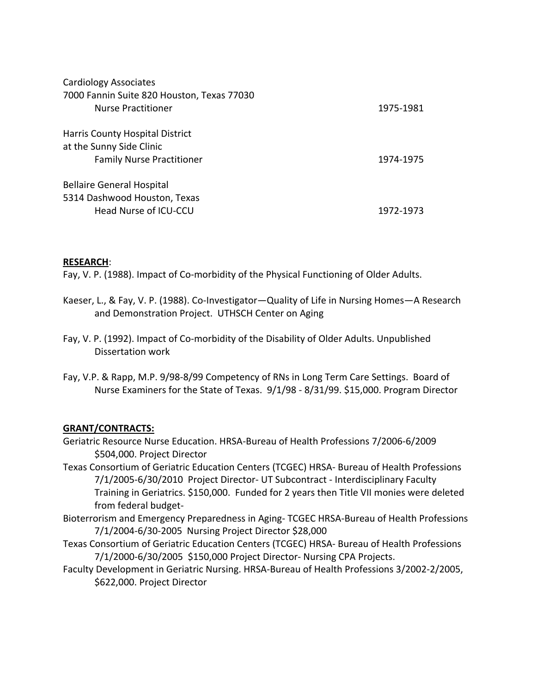| <b>Cardiology Associates</b>               |           |
|--------------------------------------------|-----------|
| 7000 Fannin Suite 820 Houston, Texas 77030 |           |
| Nurse Practitioner                         | 1975-1981 |
| Harris County Hospital District            |           |
| at the Sunny Side Clinic                   |           |
| <b>Family Nurse Practitioner</b>           | 1974-1975 |
| <b>Bellaire General Hospital</b>           |           |
| 5314 Dashwood Houston, Texas               |           |
| Head Nurse of ICU-CCU                      | 1972-1973 |

### **RESEARCH**:

Fay, V. P. (1988). Impact of Co-morbidity of the Physical Functioning of Older Adults.

- Kaeser, L., & Fay, V. P. (1988). Co-Investigator—Quality of Life in Nursing Homes—A Research and Demonstration Project. UTHSCH Center on Aging
- Fay, V. P. (1992). Impact of Co-morbidity of the Disability of Older Adults. Unpublished Dissertation work
- Fay, V.P. & Rapp, M.P. 9/98-8/99 Competency of RNs in Long Term Care Settings. Board of Nurse Examiners for the State of Texas. 9/1/98 - 8/31/99. \$15,000. Program Director

### **GRANT/CONTRACTS:**

- Geriatric Resource Nurse Education. HRSA-Bureau of Health Professions 7/2006-6/2009 \$504,000. Project Director
- Texas Consortium of Geriatric Education Centers (TCGEC) HRSA- Bureau of Health Professions 7/1/2005-6/30/2010 Project Director- UT Subcontract - Interdisciplinary Faculty Training in Geriatrics. \$150,000. Funded for 2 years then Title VII monies were deleted from federal budget-
- Bioterrorism and Emergency Preparedness in Aging- TCGEC HRSA-Bureau of Health Professions 7/1/2004-6/30-2005 Nursing Project Director \$28,000
- Texas Consortium of Geriatric Education Centers (TCGEC) HRSA- Bureau of Health Professions 7/1/2000-6/30/2005 \$150,000 Project Director- Nursing CPA Projects.
- Faculty Development in Geriatric Nursing. HRSA-Bureau of Health Professions 3/2002-2/2005, \$622,000. Project Director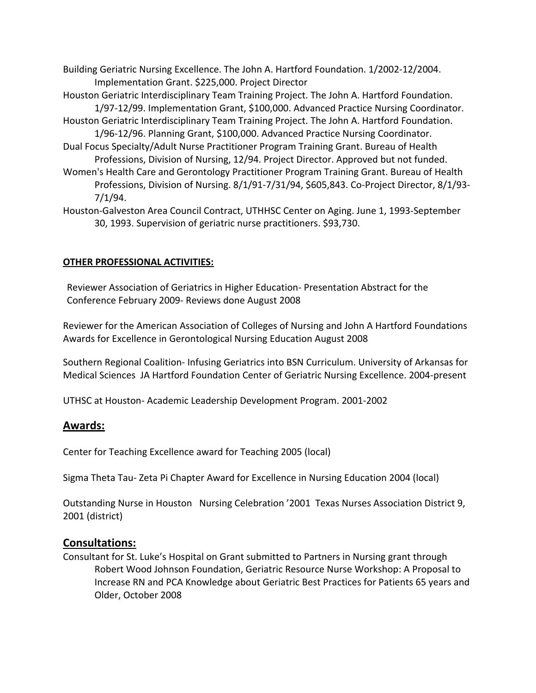- Building Geriatric Nursing Excellence. The John A. Hartford Foundation. 1/2002-12/2004. Implementation Grant. \$225,000. Project Director
- Houston Geriatric Interdisciplinary Team Training Project. The John A. Hartford Foundation.
- 1/97-12/99. Implementation Grant, \$100,000. Advanced Practice Nursing Coordinator. Houston Geriatric Interdisciplinary Team Training Project. The John A. Hartford Foundation.
- 1/96-12/96. Planning Grant, \$100,000. Advanced Practice Nursing Coordinator. Dual Focus Specialty/Adult Nurse Practitioner Program Training Grant. Bureau of Health Professions, Division of Nursing, 12/94. Project Director. Approved but not funded.
- Women's Health Care and Gerontology Practitioner Program Training Grant. Bureau of Health Professions, Division of Nursing. 8/1/91-7/31/94, \$605,843. Co-Project Director, 8/1/93- 7/1/94.
- Houston-Galveston Area Council Contract, UTHHSC Center on Aging. June 1, 1993-September 30, 1993. Supervision of geriatric nurse practitioners. \$93,730.

## **OTHER PROFESSIONAL ACTIVITIES:**

Reviewer Association of Geriatrics in Higher Education- Presentation Abstract for the Conference February 2009- Reviews done August 2008

Reviewer for the American Association of Colleges of Nursing and John A Hartford Foundations Awards for Excellence in Gerontological Nursing Education August 2008

Southern Regional Coalition- Infusing Geriatrics into BSN Curriculum. University of Arkansas for Medical Sciences JA Hartford Foundation Center of Geriatric Nursing Excellence. 2004-present

UTHSC at Houston- Academic Leadership Development Program. 2001-2002

## **Awards:**

Center for Teaching Excellence award for Teaching 2005 (local)

Sigma Theta Tau- Zeta Pi Chapter Award for Excellence in Nursing Education 2004 (local)

Outstanding Nurse in Houston Nursing Celebration '2001 Texas Nurses Association District 9, 2001 (district)

### **Consultations:**

Consultant for St. Luke's Hospital on Grant submitted to Partners in Nursing grant through Robert Wood Johnson Foundation, Geriatric Resource Nurse Workshop: A Proposal to Increase RN and PCA Knowledge about Geriatric Best Practices for Patients 65 years and Older, October 2008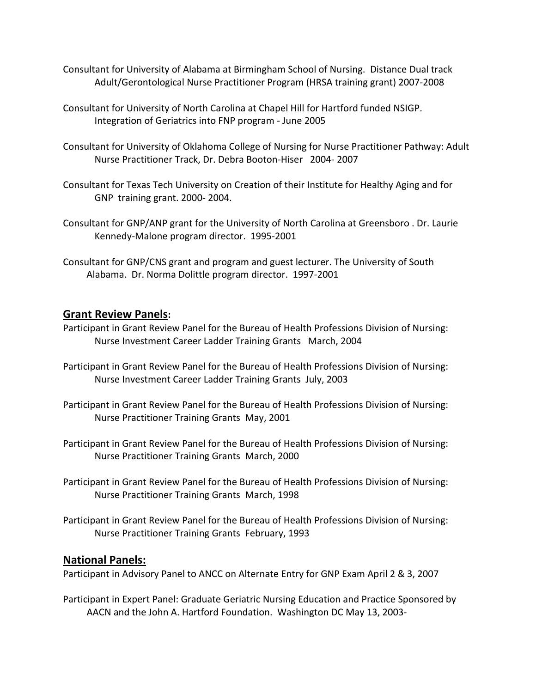- Consultant for University of Alabama at Birmingham School of Nursing. Distance Dual track Adult/Gerontological Nurse Practitioner Program (HRSA training grant) 2007-2008
- Consultant for University of North Carolina at Chapel Hill for Hartford funded NSIGP. Integration of Geriatrics into FNP program - June 2005
- Consultant for University of Oklahoma College of Nursing for Nurse Practitioner Pathway: Adult Nurse Practitioner Track, Dr. Debra Booton-Hiser 2004- 2007
- Consultant for Texas Tech University on Creation of their Institute for Healthy Aging and for GNP training grant. 2000- 2004.
- Consultant for GNP/ANP grant for the University of North Carolina at Greensboro . Dr. Laurie Kennedy-Malone program director. 1995-2001
- Consultant for GNP/CNS grant and program and guest lecturer. The University of South Alabama. Dr. Norma Dolittle program director. 1997-2001

## **Grant Review Panels:**

- Participant in Grant Review Panel for the Bureau of Health Professions Division of Nursing: Nurse Investment Career Ladder Training Grants March, 2004
- Participant in Grant Review Panel for the Bureau of Health Professions Division of Nursing: Nurse Investment Career Ladder Training Grants July, 2003
- Participant in Grant Review Panel for the Bureau of Health Professions Division of Nursing: Nurse Practitioner Training Grants May, 2001
- Participant in Grant Review Panel for the Bureau of Health Professions Division of Nursing: Nurse Practitioner Training Grants March, 2000
- Participant in Grant Review Panel for the Bureau of Health Professions Division of Nursing: Nurse Practitioner Training Grants March, 1998
- Participant in Grant Review Panel for the Bureau of Health Professions Division of Nursing: Nurse Practitioner Training Grants February, 1993

### **National Panels:**

Participant in Advisory Panel to ANCC on Alternate Entry for GNP Exam April 2 & 3, 2007

Participant in Expert Panel: Graduate Geriatric Nursing Education and Practice Sponsored by AACN and the John A. Hartford Foundation. Washington DC May 13, 2003-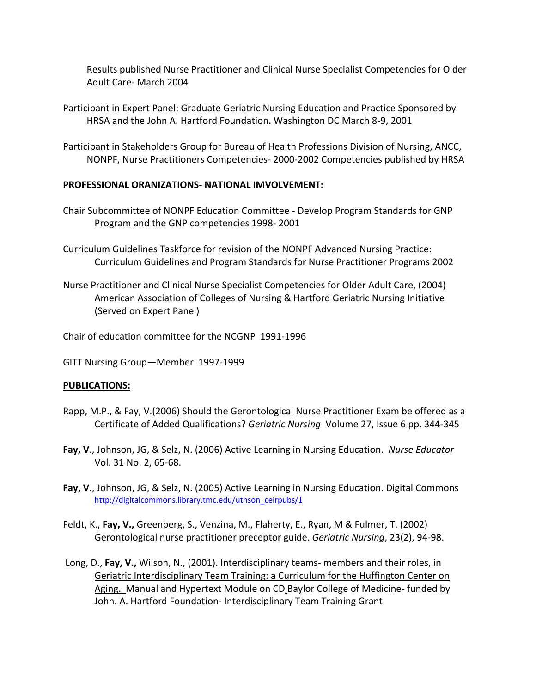Results published Nurse Practitioner and Clinical Nurse Specialist Competencies for Older Adult Care- March 2004

- Participant in Expert Panel: Graduate Geriatric Nursing Education and Practice Sponsored by HRSA and the John A. Hartford Foundation. Washington DC March 8-9, 2001
- Participant in Stakeholders Group for Bureau of Health Professions Division of Nursing, ANCC, NONPF, Nurse Practitioners Competencies- 2000-2002 Competencies published by HRSA

### **PROFESSIONAL ORANIZATIONS- NATIONAL IMVOLVEMENT:**

- Chair Subcommittee of NONPF Education Committee Develop Program Standards for GNP Program and the GNP competencies 1998- 2001
- Curriculum Guidelines Taskforce for revision of the NONPF Advanced Nursing Practice: Curriculum Guidelines and Program Standards for Nurse Practitioner Programs 2002
- Nurse Practitioner and Clinical Nurse Specialist Competencies for Older Adult Care, (2004) American Association of Colleges of Nursing & Hartford Geriatric Nursing Initiative (Served on Expert Panel)
- Chair of education committee for the NCGNP 1991-1996
- GITT Nursing Group—Member 1997-1999

### **PUBLICATIONS:**

- Rapp, M.P., & Fay, V.(2006) Should the Gerontological Nurse Practitioner Exam be offered as a Certificate of Added Qualifications? *Geriatric Nursing* Volume 27, Issue 6 pp. 344-345
- **Fay, V**., Johnson, JG, & Selz, N. (2006) Active Learning in Nursing Education. *Nurse Educator* Vol. 31 No. 2, 65-68.
- **Fay, V**., Johnson, JG, & Selz, N. (2005) Active Learning in Nursing Education. Digital Commons http://digitalcommons.library.tmc.edu/uthson\_ceirpubs/1
- Feldt, K., **Fay, V.,** Greenberg, S., Venzina, M., Flaherty, E., Ryan, M & Fulmer, T. (2002) Gerontological nurse practitioner preceptor guide. *Geriatric Nursing*, 23(2), 94-98.
- Long, D., **Fay, V.,** Wilson, N., (2001). Interdisciplinary teams- members and their roles, in Geriatric Interdisciplinary Team Training: a Curriculum for the Huffington Center on Aging. Manual and Hypertext Module on CD Baylor College of Medicine- funded by John. A. Hartford Foundation- Interdisciplinary Team Training Grant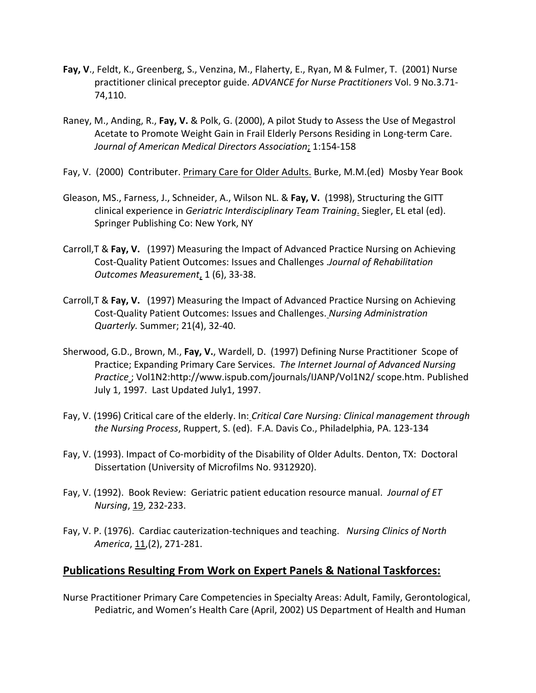- **Fay, V**., Feldt, K., Greenberg, S., Venzina, M., Flaherty, E., Ryan, M & Fulmer, T. (2001) Nurse practitioner clinical preceptor guide. *ADVANCE for Nurse Practitioners* Vol. 9 No.3.71- 74,110.
- Raney, M., Anding, R., **Fay, V.** & Polk, G. (2000), A pilot Study to Assess the Use of Megastrol Acetate to Promote Weight Gain in Frail Elderly Persons Residing in Long-term Care. *Journal of American Medical Directors Association*; 1:154-158
- Fay, V. (2000) Contributer. Primary Care for Older Adults. Burke, M.M.(ed) Mosby Year Book
- Gleason, MS., Farness, J., Schneider, A., Wilson NL. & **Fay, V.** (1998), Structuring the GITT clinical experience in *Geriatric Interdisciplinary Team Training*. Siegler, EL etal (ed). Springer Publishing Co: New York, NY
- Carroll,T & **Fay, V.** (1997) Measuring the Impact of Advanced Practice Nursing on Achieving Cost-Quality Patient Outcomes: Issues and Challenges .*Journal of Rehabilitation Outcomes Measurement*, 1 (6), 33-38.
- Carroll,T & **Fay, V.** (1997) Measuring the Impact of Advanced Practice Nursing on Achieving Cost-Quality Patient Outcomes: Issues and Challenges. *Nursing Administration Quarterly.* Summer; 21(4), 32-40.
- Sherwood, G.D., Brown, M., **Fay, V.**, Wardell, D. (1997) Defining Nurse Practitioner Scope of Practice; Expanding Primary Care Services. *The Internet Journal of Advanced Nursing Practice* ; Vol1N2:http://www.ispub.com/journals/IJANP/Vol1N2/ scope.htm. Published July 1, 1997. Last Updated July1, 1997.
- Fay, V. (1996) Critical care of the elderly. In: *Critical Care Nursing: Clinical management through the Nursing Process*, Ruppert, S. (ed). F.A. Davis Co., Philadelphia, PA. 123-134
- Fay, V. (1993). Impact of Co-morbidity of the Disability of Older Adults. Denton, TX: Doctoral Dissertation (University of Microfilms No. 9312920).
- Fay, V. (1992). Book Review: Geriatric patient education resource manual. *Journal of ET Nursing*, 19, 232-233.
- Fay, V. P. (1976). Cardiac cauterization-techniques and teaching. *Nursing Clinics of North America*, 11,(2), 271-281.

## **Publications Resulting From Work on Expert Panels & National Taskforces:**

Nurse Practitioner Primary Care Competencies in Specialty Areas: Adult, Family, Gerontological, Pediatric, and Women's Health Care (April, 2002) US Department of Health and Human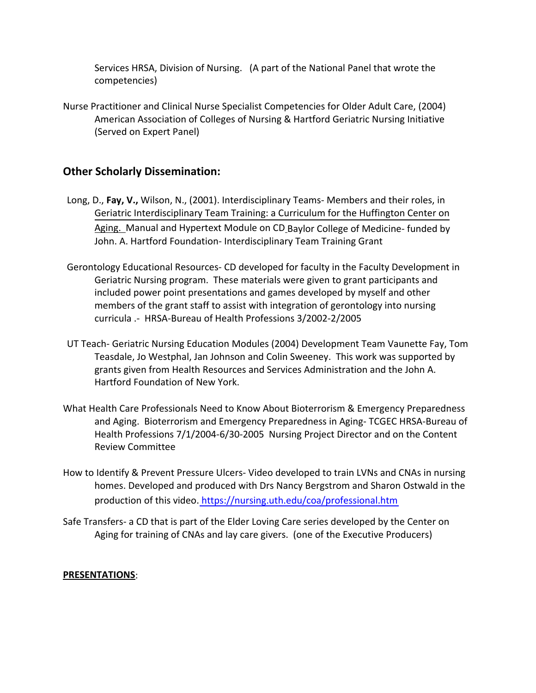Services HRSA, Division of Nursing. (A part of the National Panel that wrote the competencies)

Nurse Practitioner and Clinical Nurse Specialist Competencies for Older Adult Care, (2004) American Association of Colleges of Nursing & Hartford Geriatric Nursing Initiative (Served on Expert Panel)

## **Other Scholarly Dissemination:**

- Long, D., **Fay, V.,** Wilson, N., (2001). Interdisciplinary Teams- Members and their roles, in Geriatric Interdisciplinary Team Training: a Curriculum for the Huffington Center on Aging. Manual and Hypertext Module on CD\_Baylor College of Medicine- funded by John. A. Hartford Foundation- Interdisciplinary Team Training Grant
- Gerontology Educational Resources- CD developed for faculty in the Faculty Development in Geriatric Nursing program. These materials were given to grant participants and included power point presentations and games developed by myself and other members of the grant staff to assist with integration of gerontology into nursing curricula .- HRSA-Bureau of Health Professions 3/2002-2/2005
- UT Teach- Geriatric Nursing Education Modules (2004) Development Team Vaunette Fay, Tom Teasdale, Jo Westphal, Jan Johnson and Colin Sweeney. This work was supported by grants given from Health Resources and Services Administration and the John A. Hartford Foundation of New York.
- What Health Care Professionals Need to Know About Bioterrorism & Emergency Preparedness and Aging. Bioterrorism and Emergency Preparedness in Aging- TCGEC HRSA-Bureau of Health Professions 7/1/2004-6/30-2005 Nursing Project Director and on the Content Review Committee
- How to Identify & Prevent Pressure Ulcers- Video developed to train LVNs and CNAs in nursing homes. Developed and produced with Drs Nancy Bergstrom and Sharon Ostwald in the production of this video. https://nursing.uth[.edu/coa/professional.htm](https://nursing.uth.edu/coa/professional.htm)
- Safe Transfers- a CD that is part of the Elder Loving Care series developed by the Center on Aging for training of CNAs and lay care givers. (one of the Executive Producers)

#### **PRESENTATIONS**: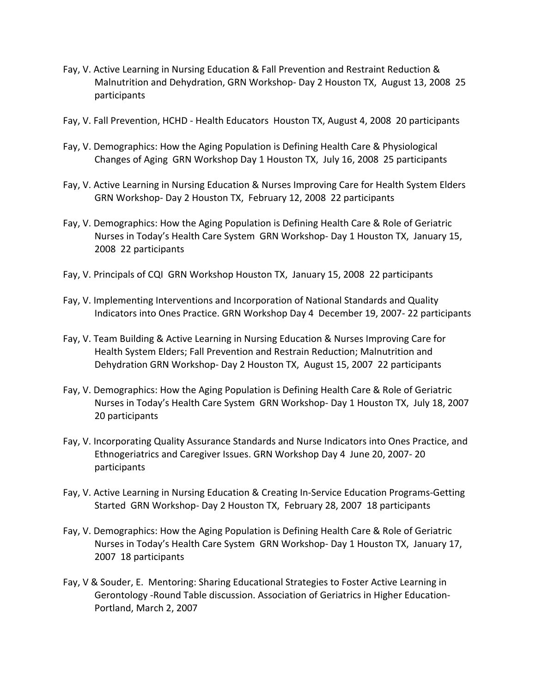- Fay, V. Active Learning in Nursing Education & Fall Prevention and Restraint Reduction & Malnutrition and Dehydration, GRN Workshop- Day 2 Houston TX, August 13, 2008 25 participants
- Fay, V. Fall Prevention, HCHD Health Educators Houston TX, August 4, 2008 20 participants
- Fay, V. Demographics: How the Aging Population is Defining Health Care & Physiological Changes of Aging GRN Workshop Day 1 Houston TX, July 16, 2008 25 participants
- Fay, V. Active Learning in Nursing Education & Nurses Improving Care for Health System Elders GRN Workshop- Day 2 Houston TX, February 12, 2008 22 participants
- Fay, V. Demographics: How the Aging Population is Defining Health Care & Role of Geriatric Nurses in Today's Health Care System GRN Workshop- Day 1 Houston TX, January 15, 2008 22 participants
- Fay, V. Principals of CQI GRN Workshop Houston TX, January 15, 2008 22 participants
- Fay, V. Implementing Interventions and Incorporation of National Standards and Quality Indicators into Ones Practice. GRN Workshop Day 4 December 19, 2007- 22 participants
- Fay, V. Team Building & Active Learning in Nursing Education & Nurses Improving Care for Health System Elders; Fall Prevention and Restrain Reduction; Malnutrition and Dehydration GRN Workshop- Day 2 Houston TX, August 15, 2007 22 participants
- Fay, V. Demographics: How the Aging Population is Defining Health Care & Role of Geriatric Nurses in Today's Health Care System GRN Workshop- Day 1 Houston TX, July 18, 2007 20 participants
- Fay, V. Incorporating Quality Assurance Standards and Nurse Indicators into Ones Practice, and Ethnogeriatrics and Caregiver Issues. GRN Workshop Day 4 June 20, 2007- 20 participants
- Fay, V. Active Learning in Nursing Education & Creating In-Service Education Programs-Getting Started GRN Workshop- Day 2 Houston TX, February 28, 2007 18 participants
- Fay, V. Demographics: How the Aging Population is Defining Health Care & Role of Geriatric Nurses in Today's Health Care System GRN Workshop- Day 1 Houston TX, January 17, 2007 18 participants
- Fay, V & Souder, E. Mentoring: Sharing Educational Strategies to Foster Active Learning in Gerontology -Round Table discussion. Association of Geriatrics in Higher Education-Portland, March 2, 2007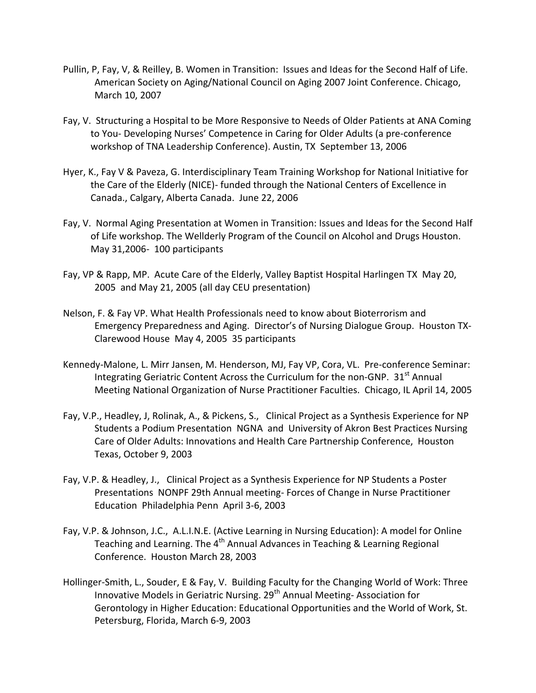- Pullin, P, Fay, V, & Reilley, B. Women in Transition: Issues and Ideas for the Second Half of Life. American Society on Aging/National Council on Aging 2007 Joint Conference. Chicago, March 10, 2007
- Fay, V. Structuring a Hospital to be More Responsive to Needs of Older Patients at ANA Coming to You- Developing Nurses' Competence in Caring for Older Adults (a pre-conference workshop of TNA Leadership Conference). Austin, TX September 13, 2006
- Hyer, K., Fay V & Paveza, G. Interdisciplinary Team Training Workshop for National Initiative for the Care of the Elderly (NICE)- funded through the National Centers of Excellence in Canada., Calgary, Alberta Canada. June 22, 2006
- Fay, V. Normal Aging Presentation at Women in Transition: Issues and Ideas for the Second Half of Life workshop. The Wellderly Program of the Council on Alcohol and Drugs Houston. May 31,2006- 100 participants
- Fay, VP & Rapp, MP. Acute Care of the Elderly, Valley Baptist Hospital Harlingen TX May 20, 2005 and May 21, 2005 (all day CEU presentation)
- Nelson, F. & Fay VP. What Health Professionals need to know about Bioterrorism and Emergency Preparedness and Aging. Director's of Nursing Dialogue Group. Houston TX-Clarewood House May 4, 2005 35 participants
- Kennedy-Malone, L. Mirr Jansen, M. Henderson, MJ, Fay VP, Cora, VL. Pre-conference Seminar: Integrating Geriatric Content Across the Curriculum for the non-GNP.  $31<sup>st</sup>$  Annual Meeting National Organization of Nurse Practitioner Faculties. Chicago, IL April 14, 2005
- Fay, V.P., Headley, J, Rolinak, A., & Pickens, S., Clinical Project as a Synthesis Experience for NP Students a Podium Presentation NGNA and University of Akron Best Practices Nursing Care of Older Adults: Innovations and Health Care Partnership Conference, Houston Texas, October 9, 2003
- Fay, V.P. & Headley, J., Clinical Project as a Synthesis Experience for NP Students a Poster Presentations NONPF 29th Annual meeting- Forces of Change in Nurse Practitioner Education Philadelphia Penn April 3-6, 2003
- Fay, V.P. & Johnson, J.C., A.L.I.N.E. (Active Learning in Nursing Education): A model for Online Teaching and Learning. The  $4<sup>th</sup>$  Annual Advances in Teaching & Learning Regional Conference. Houston March 28, 2003
- Hollinger-Smith, L., Souder, E & Fay, V. Building Faculty for the Changing World of Work: Three Innovative Models in Geriatric Nursing.  $29<sup>th</sup>$  Annual Meeting-Association for Gerontology in Higher Education: Educational Opportunities and the World of Work, St. Petersburg, Florida, March 6-9, 2003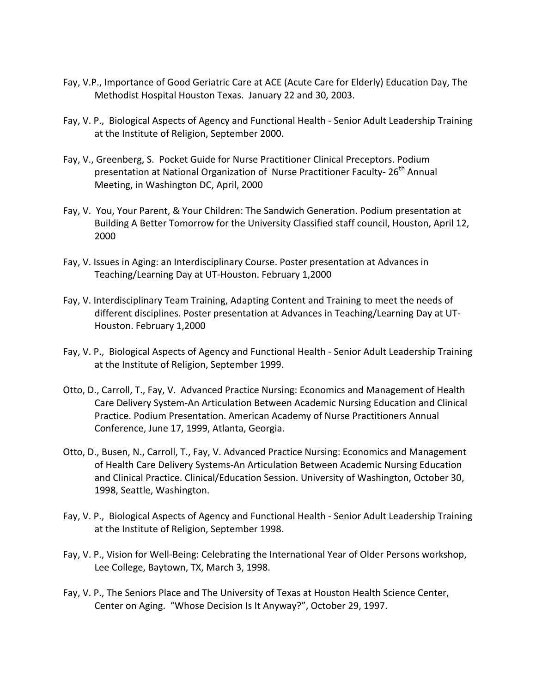- Fay, V.P., Importance of Good Geriatric Care at ACE (Acute Care for Elderly) Education Day, The Methodist Hospital Houston Texas. January 22 and 30, 2003.
- Fay, V. P., Biological Aspects of Agency and Functional Health Senior Adult Leadership Training at the Institute of Religion, September 2000.
- Fay, V., Greenberg, S. Pocket Guide for Nurse Practitioner Clinical Preceptors. Podium presentation at National Organization of Nurse Practitioner Faculty- 26<sup>th</sup> Annual Meeting, in Washington DC, April, 2000
- Fay, V. You, Your Parent, & Your Children: The Sandwich Generation. Podium presentation at Building A Better Tomorrow for the University Classified staff council, Houston, April 12, 2000
- Fay, V. Issues in Aging: an Interdisciplinary Course. Poster presentation at Advances in Teaching/Learning Day at UT-Houston. February 1,2000
- Fay, V. Interdisciplinary Team Training, Adapting Content and Training to meet the needs of different disciplines. Poster presentation at Advances in Teaching/Learning Day at UT-Houston. February 1,2000
- Fay, V. P., Biological Aspects of Agency and Functional Health Senior Adult Leadership Training at the Institute of Religion, September 1999.
- Otto, D., Carroll, T., Fay, V. Advanced Practice Nursing: Economics and Management of Health Care Delivery System-An Articulation Between Academic Nursing Education and Clinical Practice. Podium Presentation. American Academy of Nurse Practitioners Annual Conference, June 17, 1999, Atlanta, Georgia.
- Otto, D., Busen, N., Carroll, T., Fay, V. Advanced Practice Nursing: Economics and Management of Health Care Delivery Systems-An Articulation Between Academic Nursing Education and Clinical Practice. Clinical/Education Session. University of Washington, October 30, 1998, Seattle, Washington.
- Fay, V. P., Biological Aspects of Agency and Functional Health Senior Adult Leadership Training at the Institute of Religion, September 1998.
- Fay, V. P., Vision for Well-Being: Celebrating the International Year of Older Persons workshop, Lee College, Baytown, TX, March 3, 1998.
- Fay, V. P., The Seniors Place and The University of Texas at Houston Health Science Center, Center on Aging. "Whose Decision Is It Anyway?", October 29, 1997.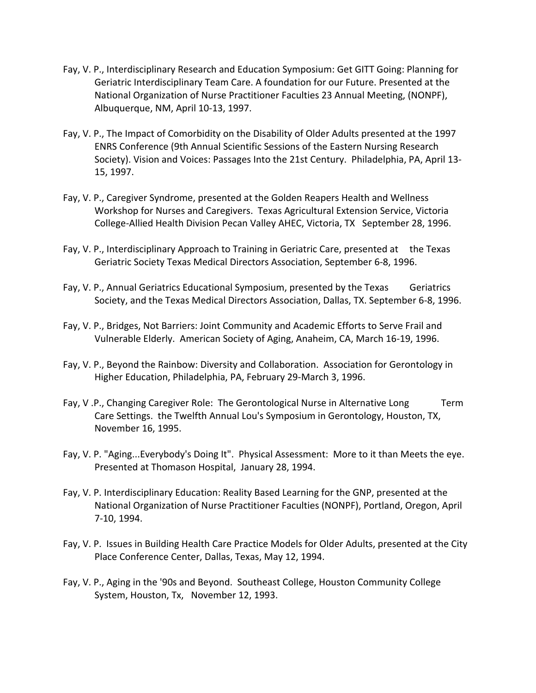- Fay, V. P., Interdisciplinary Research and Education Symposium: Get GITT Going: Planning for Geriatric Interdisciplinary Team Care. A foundation for our Future. Presented at the National Organization of Nurse Practitioner Faculties 23 Annual Meeting, (NONPF), Albuquerque, NM, April 10-13, 1997.
- Fay, V. P., The Impact of Comorbidity on the Disability of Older Adults presented at the 1997 ENRS Conference (9th Annual Scientific Sessions of the Eastern Nursing Research Society). Vision and Voices: Passages Into the 21st Century. Philadelphia, PA, April 13- 15, 1997.
- Fay, V. P., Caregiver Syndrome, presented at the Golden Reapers Health and Wellness Workshop for Nurses and Caregivers. Texas Agricultural Extension Service, Victoria College-Allied Health Division Pecan Valley AHEC, Victoria, TX September 28, 1996.
- Fay, V. P., Interdisciplinary Approach to Training in Geriatric Care, presented at the Texas Geriatric Society Texas Medical Directors Association, September 6-8, 1996.
- Fay, V. P., Annual Geriatrics Educational Symposium, presented by the Texas Geriatrics Society, and the Texas Medical Directors Association, Dallas, TX. September 6-8, 1996.
- Fay, V. P., Bridges, Not Barriers: Joint Community and Academic Efforts to Serve Frail and Vulnerable Elderly. American Society of Aging, Anaheim, CA, March 16-19, 1996.
- Fay, V. P., Beyond the Rainbow: Diversity and Collaboration. Association for Gerontology in Higher Education, Philadelphia, PA, February 29-March 3, 1996.
- Fay, V.P., Changing Caregiver Role: The Gerontological Nurse in Alternative Long Term Care Settings. the Twelfth Annual Lou's Symposium in Gerontology, Houston, TX, November 16, 1995.
- Fay, V. P. "Aging...Everybody's Doing It". Physical Assessment: More to it than Meets the eye. Presented at Thomason Hospital, January 28, 1994.
- Fay, V. P. Interdisciplinary Education: Reality Based Learning for the GNP, presented at the National Organization of Nurse Practitioner Faculties (NONPF), Portland, Oregon, April 7-10, 1994.
- Fay, V. P. Issues in Building Health Care Practice Models for Older Adults, presented at the City Place Conference Center, Dallas, Texas, May 12, 1994.
- Fay, V. P., Aging in the '90s and Beyond. Southeast College, Houston Community College System, Houston, Tx, November 12, 1993.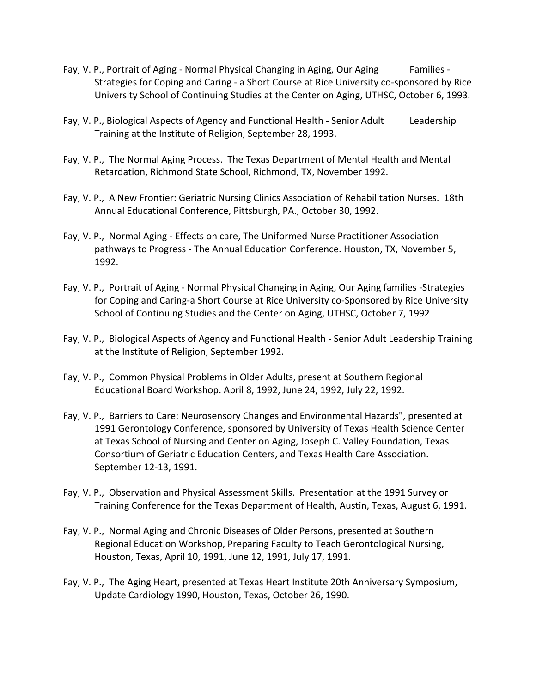- Fay, V. P., Portrait of Aging Normal Physical Changing in Aging, Our Aging Families -Strategies for Coping and Caring - a Short Course at Rice University co-sponsored by Rice University School of Continuing Studies at the Center on Aging, UTHSC, October 6, 1993.
- Fay, V. P., Biological Aspects of Agency and Functional Health Senior Adult Leadership Training at the Institute of Religion, September 28, 1993.
- Fay, V. P., The Normal Aging Process. The Texas Department of Mental Health and Mental Retardation, Richmond State School, Richmond, TX, November 1992.
- Fay, V. P., A New Frontier: Geriatric Nursing Clinics Association of Rehabilitation Nurses. 18th Annual Educational Conference, Pittsburgh, PA., October 30, 1992.
- Fay, V. P., Normal Aging Effects on care, The Uniformed Nurse Practitioner Association pathways to Progress - The Annual Education Conference. Houston, TX, November 5, 1992.
- Fay, V. P., Portrait of Aging Normal Physical Changing in Aging, Our Aging families -Strategies for Coping and Caring-a Short Course at Rice University co-Sponsored by Rice University School of Continuing Studies and the Center on Aging, UTHSC, October 7, 1992
- Fay, V. P., Biological Aspects of Agency and Functional Health Senior Adult Leadership Training at the Institute of Religion, September 1992.
- Fay, V. P., Common Physical Problems in Older Adults, present at Southern Regional Educational Board Workshop. April 8, 1992, June 24, 1992, July 22, 1992.
- Fay, V. P., Barriers to Care: Neurosensory Changes and Environmental Hazards", presented at 1991 Gerontology Conference, sponsored by University of Texas Health Science Center at Texas School of Nursing and Center on Aging, Joseph C. Valley Foundation, Texas Consortium of Geriatric Education Centers, and Texas Health Care Association. September 12-13, 1991.
- Fay, V. P., Observation and Physical Assessment Skills. Presentation at the 1991 Survey or Training Conference for the Texas Department of Health, Austin, Texas, August 6, 1991.
- Fay, V. P., Normal Aging and Chronic Diseases of Older Persons, presented at Southern Regional Education Workshop, Preparing Faculty to Teach Gerontological Nursing, Houston, Texas, April 10, 1991, June 12, 1991, July 17, 1991.
- Fay, V. P., The Aging Heart, presented at Texas Heart Institute 20th Anniversary Symposium, Update Cardiology 1990, Houston, Texas, October 26, 1990.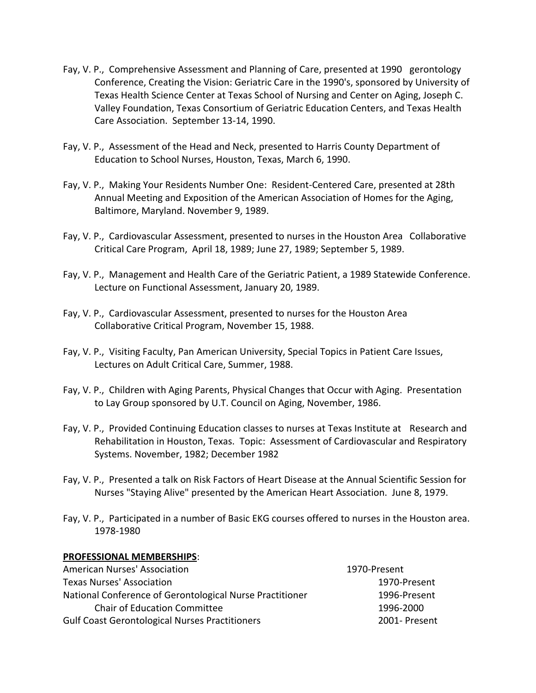- Fay, V. P., Comprehensive Assessment and Planning of Care, presented at 1990 gerontology Conference, Creating the Vision: Geriatric Care in the 1990's, sponsored by University of Texas Health Science Center at Texas School of Nursing and Center on Aging, Joseph C. Valley Foundation, Texas Consortium of Geriatric Education Centers, and Texas Health Care Association. September 13-14, 1990.
- Fay, V. P., Assessment of the Head and Neck, presented to Harris County Department of Education to School Nurses, Houston, Texas, March 6, 1990.
- Fay, V. P., Making Your Residents Number One: Resident-Centered Care, presented at 28th Annual Meeting and Exposition of the American Association of Homes for the Aging, Baltimore, Maryland. November 9, 1989.
- Fay, V. P., Cardiovascular Assessment, presented to nurses in the Houston Area Collaborative Critical Care Program, April 18, 1989; June 27, 1989; September 5, 1989.
- Fay, V. P., Management and Health Care of the Geriatric Patient, a 1989 Statewide Conference. Lecture on Functional Assessment, January 20, 1989.
- Fay, V. P., Cardiovascular Assessment, presented to nurses for the Houston Area Collaborative Critical Program, November 15, 1988.
- Fay, V. P., Visiting Faculty, Pan American University, Special Topics in Patient Care Issues, Lectures on Adult Critical Care, Summer, 1988.
- Fay, V. P., Children with Aging Parents, Physical Changes that Occur with Aging. Presentation to Lay Group sponsored by U.T. Council on Aging, November, 1986.
- Fay, V. P., Provided Continuing Education classes to nurses at Texas Institute at Research and Rehabilitation in Houston, Texas. Topic: Assessment of Cardiovascular and Respiratory Systems. November, 1982; December 1982
- Fay, V. P., Presented a talk on Risk Factors of Heart Disease at the Annual Scientific Session for Nurses "Staying Alive" presented by the American Heart Association. June 8, 1979.
- Fay, V. P., Participated in a number of Basic EKG courses offered to nurses in the Houston area. 1978-1980

### **PROFESSIONAL MEMBERSHIPS**:

| American Nurses' Association                             | 1970-Present  |
|----------------------------------------------------------|---------------|
| <b>Texas Nurses' Association</b>                         | 1970-Present  |
| National Conference of Gerontological Nurse Practitioner | 1996-Present  |
| <b>Chair of Education Committee</b>                      | 1996-2000     |
| <b>Gulf Coast Gerontological Nurses Practitioners</b>    | 2001- Present |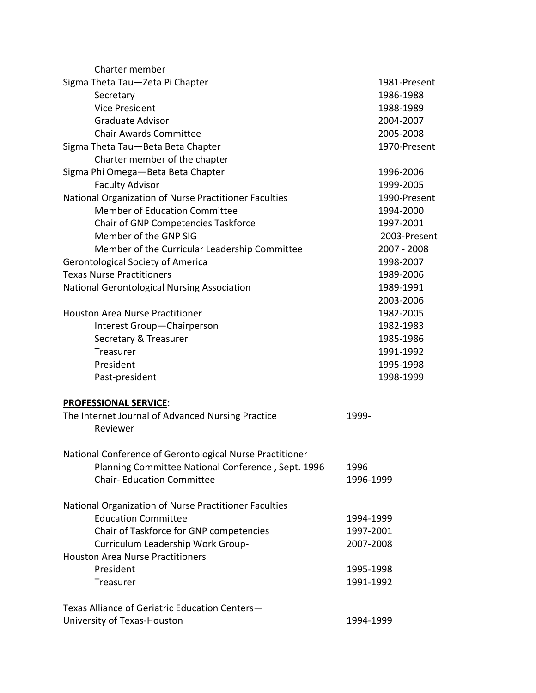| Charter member                                           |               |
|----------------------------------------------------------|---------------|
| Sigma Theta Tau-Zeta Pi Chapter                          | 1981-Present  |
| Secretary                                                | 1986-1988     |
| <b>Vice President</b>                                    | 1988-1989     |
| <b>Graduate Advisor</b>                                  | 2004-2007     |
| <b>Chair Awards Committee</b>                            | 2005-2008     |
| Sigma Theta Tau-Beta Beta Chapter                        | 1970-Present  |
| Charter member of the chapter                            |               |
| Sigma Phi Omega-Beta Beta Chapter                        | 1996-2006     |
| <b>Faculty Advisor</b>                                   | 1999-2005     |
| National Organization of Nurse Practitioner Faculties    | 1990-Present  |
| <b>Member of Education Committee</b>                     | 1994-2000     |
| Chair of GNP Competencies Taskforce                      | 1997-2001     |
| Member of the GNP SIG                                    | 2003-Present  |
| Member of the Curricular Leadership Committee            | $2007 - 2008$ |
| Gerontological Society of America                        | 1998-2007     |
| <b>Texas Nurse Practitioners</b>                         | 1989-2006     |
| National Gerontological Nursing Association              | 1989-1991     |
|                                                          | 2003-2006     |
| <b>Houston Area Nurse Practitioner</b>                   | 1982-2005     |
| Interest Group-Chairperson                               | 1982-1983     |
| Secretary & Treasurer                                    | 1985-1986     |
| Treasurer                                                | 1991-1992     |
| President                                                | 1995-1998     |
| Past-president                                           | 1998-1999     |
| <b>PROFESSIONAL SERVICE:</b>                             |               |
| The Internet Journal of Advanced Nursing Practice        | 1999-         |
| Reviewer                                                 |               |
| National Conference of Gerontological Nurse Practitioner |               |
| Planning Committee National Conference, Sept. 1996       | 1996          |
| <b>Chair-Education Committee</b>                         | 1996-1999     |
| National Organization of Nurse Practitioner Faculties    |               |
| <b>Education Committee</b>                               | 1994-1999     |
| Chair of Taskforce for GNP competencies                  | 1997-2001     |
| Curriculum Leadership Work Group-                        | 2007-2008     |
| <b>Houston Area Nurse Practitioners</b>                  |               |
| President                                                | 1995-1998     |
| Treasurer                                                | 1991-1992     |
|                                                          |               |
| Texas Alliance of Geriatric Education Centers-           |               |
| University of Texas-Houston                              | 1994-1999     |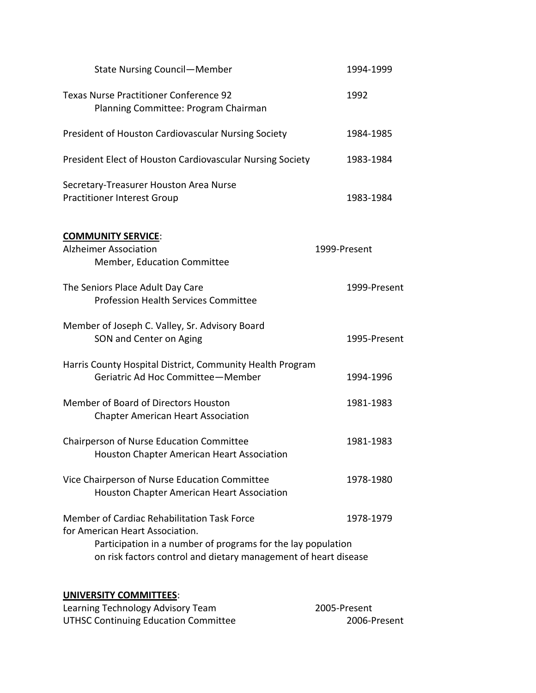| <b>State Nursing Council-Member</b>                                                                                                                                                                                            | 1994-1999    |  |
|--------------------------------------------------------------------------------------------------------------------------------------------------------------------------------------------------------------------------------|--------------|--|
| <b>Texas Nurse Practitioner Conference 92</b><br>Planning Committee: Program Chairman                                                                                                                                          | 1992         |  |
| President of Houston Cardiovascular Nursing Society                                                                                                                                                                            | 1984-1985    |  |
| President Elect of Houston Cardiovascular Nursing Society                                                                                                                                                                      | 1983-1984    |  |
| Secretary-Treasurer Houston Area Nurse<br><b>Practitioner Interest Group</b>                                                                                                                                                   | 1983-1984    |  |
| <b>COMMUNITY SERVICE:</b><br><b>Alzheimer Association</b><br>Member, Education Committee                                                                                                                                       | 1999-Present |  |
| The Seniors Place Adult Day Care<br><b>Profession Health Services Committee</b>                                                                                                                                                | 1999-Present |  |
| Member of Joseph C. Valley, Sr. Advisory Board<br>SON and Center on Aging                                                                                                                                                      | 1995-Present |  |
| Harris County Hospital District, Community Health Program<br>Geriatric Ad Hoc Committee-Member                                                                                                                                 | 1994-1996    |  |
| Member of Board of Directors Houston<br><b>Chapter American Heart Association</b>                                                                                                                                              | 1981-1983    |  |
| Chairperson of Nurse Education Committee<br>Houston Chapter American Heart Association                                                                                                                                         | 1981-1983    |  |
| Vice Chairperson of Nurse Education Committee<br><b>Houston Chapter American Heart Association</b>                                                                                                                             | 1978-1980    |  |
| Member of Cardiac Rehabilitation Task Force<br>1978-1979<br>for American Heart Association.<br>Participation in a number of programs for the lay population<br>on risk factors control and dietary management of heart disease |              |  |

# **UNIVERSITY COMMITTEES**:

| Learning Technology Advisory Team    | 2005-Present |
|--------------------------------------|--------------|
| UTHSC Continuing Education Committee | 2006-Present |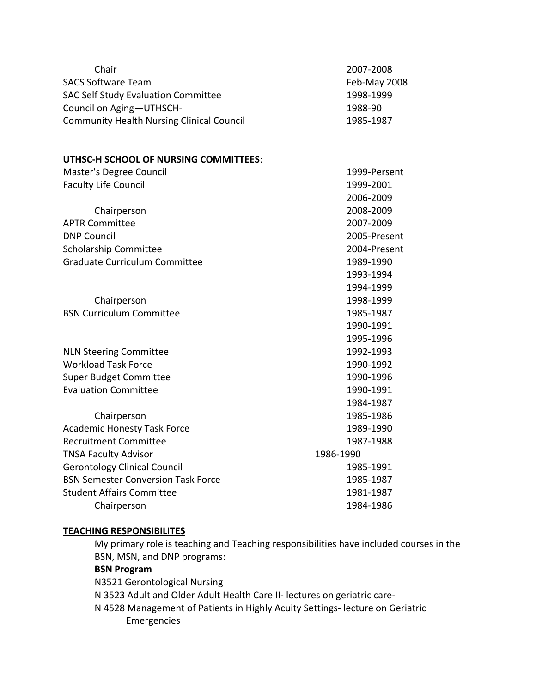| Chair<br><b>SACS Software Team</b>               | 2007-2008                 |
|--------------------------------------------------|---------------------------|
| <b>SAC Self Study Evaluation Committee</b>       | Feb-May 2008<br>1998-1999 |
| Council on Aging-UTHSCH-                         | 1988-90                   |
| <b>Community Health Nursing Clinical Council</b> | 1985-1987                 |
|                                                  |                           |
|                                                  |                           |
| UTHSC-H SCHOOL OF NURSING COMMITTEES:            |                           |
| Master's Degree Council                          | 1999-Persent              |
| <b>Faculty Life Council</b>                      | 1999-2001                 |
|                                                  | 2006-2009                 |
| Chairperson                                      | 2008-2009                 |
| <b>APTR Committee</b>                            | 2007-2009                 |
| <b>DNP Council</b>                               | 2005-Present              |
| <b>Scholarship Committee</b>                     | 2004-Present              |
| <b>Graduate Curriculum Committee</b>             | 1989-1990                 |
|                                                  | 1993-1994                 |
|                                                  | 1994-1999                 |
| Chairperson                                      | 1998-1999                 |
| <b>BSN Curriculum Committee</b>                  | 1985-1987                 |
|                                                  | 1990-1991                 |
|                                                  | 1995-1996                 |
| <b>NLN Steering Committee</b>                    | 1992-1993                 |
| <b>Workload Task Force</b>                       | 1990-1992                 |
| <b>Super Budget Committee</b>                    | 1990-1996                 |
| <b>Evaluation Committee</b>                      | 1990-1991                 |
|                                                  | 1984-1987                 |
| Chairperson                                      | 1985-1986                 |
| <b>Academic Honesty Task Force</b>               | 1989-1990                 |
| <b>Recruitment Committee</b>                     | 1987-1988                 |
| <b>TNSA Faculty Advisor</b>                      | 1986-1990                 |
| <b>Gerontology Clinical Council</b>              | 1985-1991                 |
| <b>BSN Semester Conversion Task Force</b>        | 1985-1987                 |
| <b>Student Affairs Committee</b>                 | 1981-1987                 |
| Chairperson                                      | 1984-1986                 |

### **TEACHING RESPONSIBILITES**

My primary role is teaching and Teaching responsibilities have included courses in the BSN, MSN, and DNP programs:

### **BSN Program**

N3521 Gerontological Nursing N 3523 Adult and Older Adult Health Care II- lectures on geriatric care-N 4528 Management of Patients in Highly Acuity Settings- lecture on Geriatric Emergencies